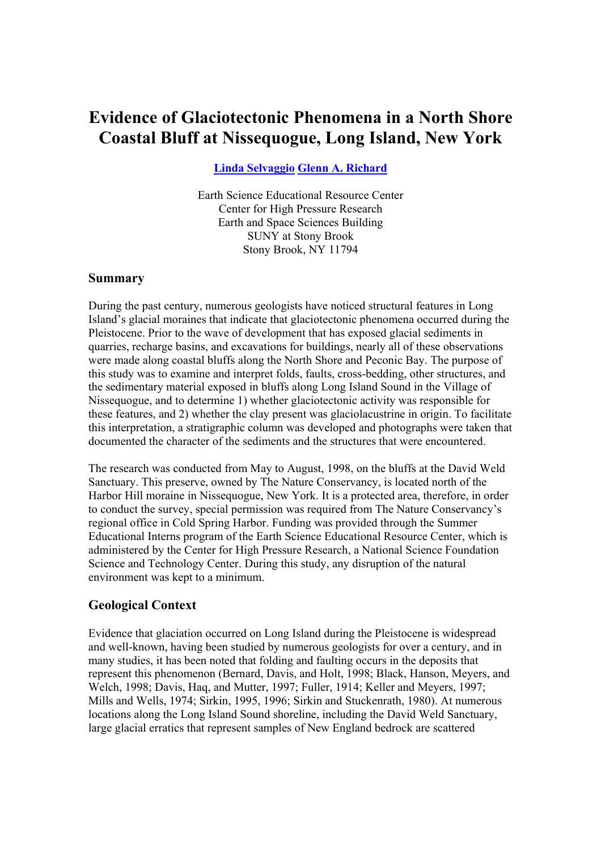# **Evidence of Glaciotectonic Phenomena in a North Shore Coastal Bluff at Nissequogue, Long Island, New York**

**Linda Selvaggio Glenn A. Richard** 

Earth Science Educational Resource Center Center for High Pressure Research Earth and Space Sciences Building SUNY at Stony Brook Stony Brook, NY 11794

#### **Summary**

During the past century, numerous geologists have noticed structural features in Long Island's glacial moraines that indicate that glaciotectonic phenomena occurred during the Pleistocene. Prior to the wave of development that has exposed glacial sediments in quarries, recharge basins, and excavations for buildings, nearly all of these observations were made along coastal bluffs along the North Shore and Peconic Bay. The purpose of this study was to examine and interpret folds, faults, cross-bedding, other structures, and the sedimentary material exposed in bluffs along Long Island Sound in the Village of Nissequogue, and to determine 1) whether glaciotectonic activity was responsible for these features, and 2) whether the clay present was glaciolacustrine in origin. To facilitate this interpretation, a stratigraphic column was developed and photographs were taken that documented the character of the sediments and the structures that were encountered.

The research was conducted from May to August, 1998, on the bluffs at the David Weld Sanctuary. This preserve, owned by The Nature Conservancy, is located north of the Harbor Hill moraine in Nissequogue, New York. It is a protected area, therefore, in order to conduct the survey, special permission was required from The Nature Conservancy's regional office in Cold Spring Harbor. Funding was provided through the Summer Educational Interns program of the Earth Science Educational Resource Center, which is administered by the Center for High Pressure Research, a National Science Foundation Science and Technology Center. During this study, any disruption of the natural environment was kept to a minimum.

## **Geological Context**

Evidence that glaciation occurred on Long Island during the Pleistocene is widespread and well-known, having been studied by numerous geologists for over a century, and in many studies, it has been noted that folding and faulting occurs in the deposits that represent this phenomenon (Bernard, Davis, and Holt, 1998; Black, Hanson, Meyers, and Welch, 1998; Davis, Haq, and Mutter, 1997; Fuller, 1914; Keller and Meyers, 1997; Mills and Wells, 1974; Sirkin, 1995, 1996; Sirkin and Stuckenrath, 1980). At numerous locations along the Long Island Sound shoreline, including the David Weld Sanctuary, large glacial erratics that represent samples of New England bedrock are scattered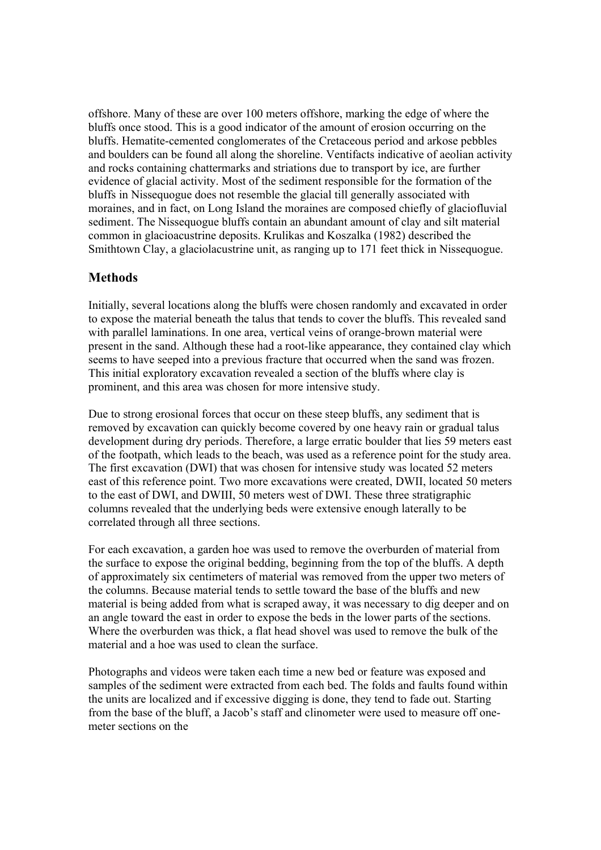offshore. Many of these are over 100 meters offshore, marking the edge of where the bluffs once stood. This is a good indicator of the amount of erosion occurring on the bluffs. Hematite-cemented conglomerates of the Cretaceous period and arkose pebbles and boulders can be found all along the shoreline. Ventifacts indicative of aeolian activity and rocks containing chattermarks and striations due to transport by ice, are further evidence of glacial activity. Most of the sediment responsible for the formation of the bluffs in Nissequogue does not resemble the glacial till generally associated with moraines, and in fact, on Long Island the moraines are composed chiefly of glaciofluvial sediment. The Nissequogue bluffs contain an abundant amount of clay and silt material common in glacioacustrine deposits. Krulikas and Koszalka (1982) described the Smithtown Clay, a glaciolacustrine unit, as ranging up to 171 feet thick in Nissequogue.

# **Methods**

Initially, several locations along the bluffs were chosen randomly and excavated in order to expose the material beneath the talus that tends to cover the bluffs. This revealed sand with parallel laminations. In one area, vertical veins of orange-brown material were present in the sand. Although these had a root-like appearance, they contained clay which seems to have seeped into a previous fracture that occurred when the sand was frozen. This initial exploratory excavation revealed a section of the bluffs where clay is prominent, and this area was chosen for more intensive study.

Due to strong erosional forces that occur on these steep bluffs, any sediment that is removed by excavation can quickly become covered by one heavy rain or gradual talus development during dry periods. Therefore, a large erratic boulder that lies 59 meters east of the footpath, which leads to the beach, was used as a reference point for the study area. The first excavation (DWI) that was chosen for intensive study was located 52 meters east of this reference point. Two more excavations were created, DWII, located 50 meters to the east of DWI, and DWIII, 50 meters west of DWI. These three stratigraphic columns revealed that the underlying beds were extensive enough laterally to be correlated through all three sections.

For each excavation, a garden hoe was used to remove the overburden of material from the surface to expose the original bedding, beginning from the top of the bluffs. A depth of approximately six centimeters of material was removed from the upper two meters of the columns. Because material tends to settle toward the base of the bluffs and new material is being added from what is scraped away, it was necessary to dig deeper and on an angle toward the east in order to expose the beds in the lower parts of the sections. Where the overburden was thick, a flat head shovel was used to remove the bulk of the material and a hoe was used to clean the surface.

Photographs and videos were taken each time a new bed or feature was exposed and samples of the sediment were extracted from each bed. The folds and faults found within the units are localized and if excessive digging is done, they tend to fade out. Starting from the base of the bluff, a Jacob's staff and clinometer were used to measure off onemeter sections on the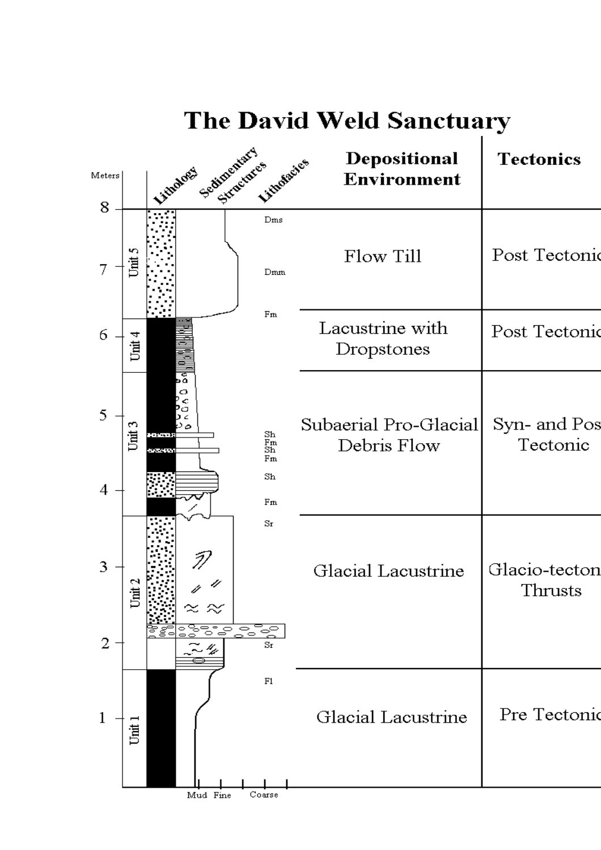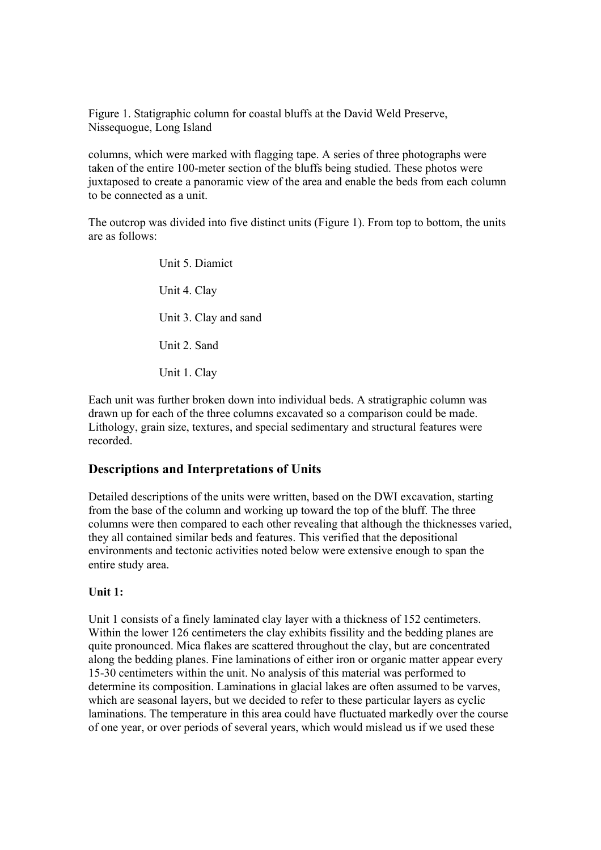Figure 1. Statigraphic column for coastal bluffs at the David Weld Preserve, Nissequogue, Long Island

columns, which were marked with flagging tape. A series of three photographs were taken of the entire 100-meter section of the bluffs being studied. These photos were juxtaposed to create a panoramic view of the area and enable the beds from each column to be connected as a unit.

The outcrop was divided into five distinct units (Figure 1). From top to bottom, the units are as follows:

> Unit 5. Diamict Unit 4. Clay Unit 3. Clay and sand Unit 2. Sand Unit 1. Clay

Each unit was further broken down into individual beds. A stratigraphic column was drawn up for each of the three columns excavated so a comparison could be made. Lithology, grain size, textures, and special sedimentary and structural features were recorded.

## **Descriptions and Interpretations of Units**

Detailed descriptions of the units were written, based on the DWI excavation, starting from the base of the column and working up toward the top of the bluff. The three columns were then compared to each other revealing that although the thicknesses varied, they all contained similar beds and features. This verified that the depositional environments and tectonic activities noted below were extensive enough to span the entire study area.

#### **Unit 1:**

Unit 1 consists of a finely laminated clay layer with a thickness of 152 centimeters. Within the lower 126 centimeters the clay exhibits fissility and the bedding planes are quite pronounced. Mica flakes are scattered throughout the clay, but are concentrated along the bedding planes. Fine laminations of either iron or organic matter appear every 15-30 centimeters within the unit. No analysis of this material was performed to determine its composition. Laminations in glacial lakes are often assumed to be varves, which are seasonal layers, but we decided to refer to these particular layers as cyclic laminations. The temperature in this area could have fluctuated markedly over the course of one year, or over periods of several years, which would mislead us if we used these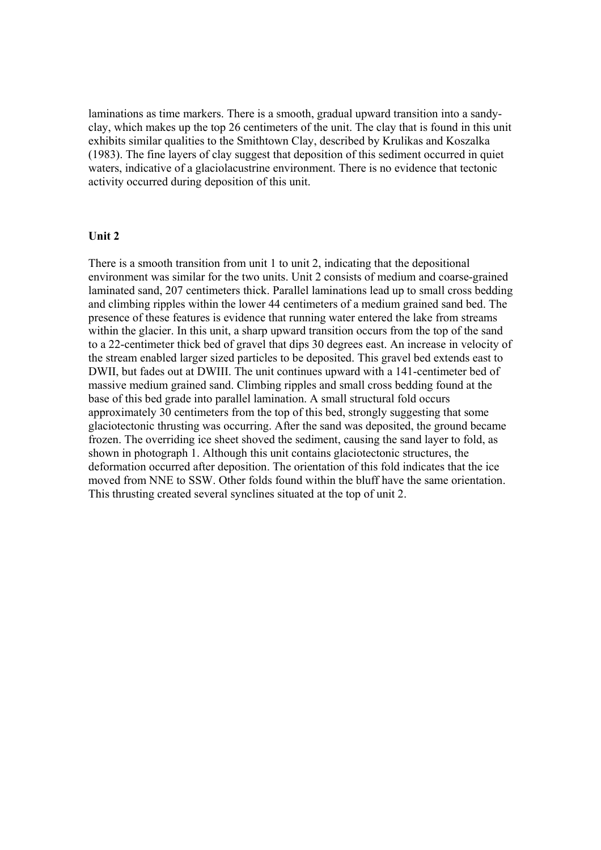laminations as time markers. There is a smooth, gradual upward transition into a sandyclay, which makes up the top 26 centimeters of the unit. The clay that is found in this unit exhibits similar qualities to the Smithtown Clay, described by Krulikas and Koszalka (1983). The fine layers of clay suggest that deposition of this sediment occurred in quiet waters, indicative of a glaciolacustrine environment. There is no evidence that tectonic activity occurred during deposition of this unit.

#### **Unit 2**

There is a smooth transition from unit 1 to unit 2, indicating that the depositional environment was similar for the two units. Unit 2 consists of medium and coarse-grained laminated sand, 207 centimeters thick. Parallel laminations lead up to small cross bedding and climbing ripples within the lower 44 centimeters of a medium grained sand bed. The presence of these features is evidence that running water entered the lake from streams within the glacier. In this unit, a sharp upward transition occurs from the top of the sand to a 22-centimeter thick bed of gravel that dips 30 degrees east. An increase in velocity of the stream enabled larger sized particles to be deposited. This gravel bed extends east to DWII, but fades out at DWIII. The unit continues upward with a 141-centimeter bed of massive medium grained sand. Climbing ripples and small cross bedding found at the base of this bed grade into parallel lamination. A small structural fold occurs approximately 30 centimeters from the top of this bed, strongly suggesting that some glaciotectonic thrusting was occurring. After the sand was deposited, the ground became frozen. The overriding ice sheet shoved the sediment, causing the sand layer to fold, as shown in photograph 1. Although this unit contains glaciotectonic structures, the deformation occurred after deposition. The orientation of this fold indicates that the ice moved from NNE to SSW. Other folds found within the bluff have the same orientation. This thrusting created several synclines situated at the top of unit 2.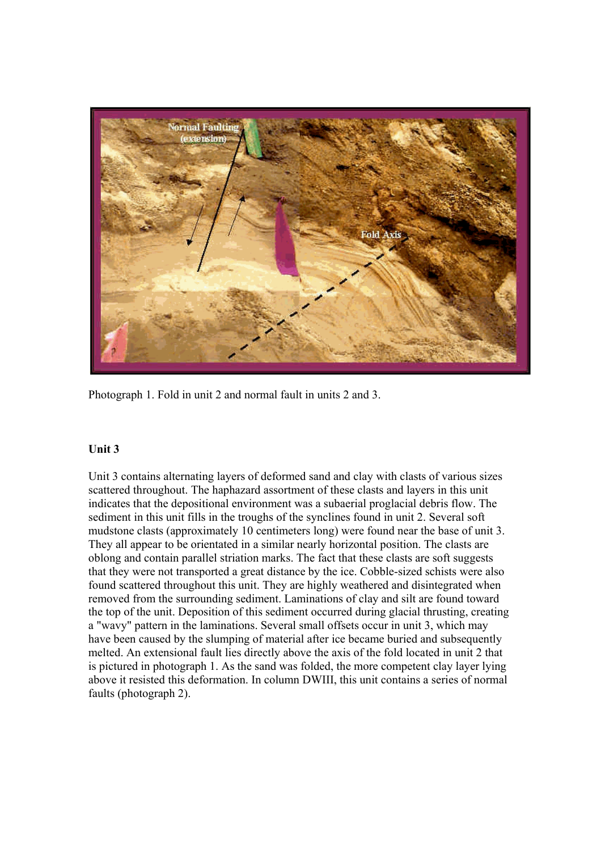

Photograph 1. Fold in unit 2 and normal fault in units 2 and 3.

## **Unit 3**

Unit 3 contains alternating layers of deformed sand and clay with clasts of various sizes scattered throughout. The haphazard assortment of these clasts and layers in this unit indicates that the depositional environment was a subaerial proglacial debris flow. The sediment in this unit fills in the troughs of the synclines found in unit 2. Several soft mudstone clasts (approximately 10 centimeters long) were found near the base of unit 3. They all appear to be orientated in a similar nearly horizontal position. The clasts are oblong and contain parallel striation marks. The fact that these clasts are soft suggests that they were not transported a great distance by the ice. Cobble-sized schists were also found scattered throughout this unit. They are highly weathered and disintegrated when removed from the surrounding sediment. Laminations of clay and silt are found toward the top of the unit. Deposition of this sediment occurred during glacial thrusting, creating a "wavy" pattern in the laminations. Several small offsets occur in unit 3, which may have been caused by the slumping of material after ice became buried and subsequently melted. An extensional fault lies directly above the axis of the fold located in unit 2 that is pictured in photograph 1. As the sand was folded, the more competent clay layer lying above it resisted this deformation. In column DWIII, this unit contains a series of normal faults (photograph 2).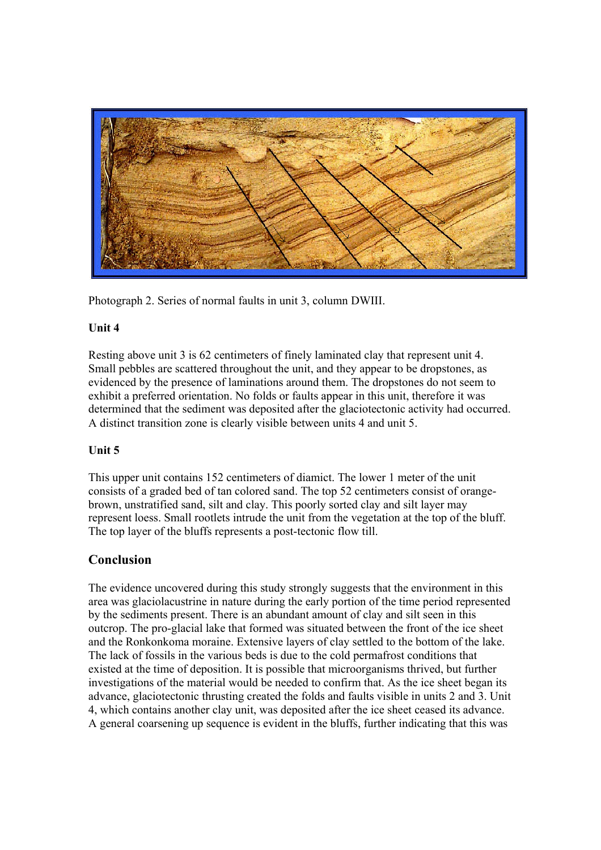

Photograph 2. Series of normal faults in unit 3, column DWIII.

## **Unit 4**

Resting above unit 3 is 62 centimeters of finely laminated clay that represent unit 4. Small pebbles are scattered throughout the unit, and they appear to be dropstones, as evidenced by the presence of laminations around them. The dropstones do not seem to exhibit a preferred orientation. No folds or faults appear in this unit, therefore it was determined that the sediment was deposited after the glaciotectonic activity had occurred. A distinct transition zone is clearly visible between units 4 and unit 5.

## **Unit 5**

This upper unit contains 152 centimeters of diamict. The lower 1 meter of the unit consists of a graded bed of tan colored sand. The top 52 centimeters consist of orangebrown, unstratified sand, silt and clay. This poorly sorted clay and silt layer may represent loess. Small rootlets intrude the unit from the vegetation at the top of the bluff. The top layer of the bluffs represents a post-tectonic flow till.

## **Conclusion**

The evidence uncovered during this study strongly suggests that the environment in this area was glaciolacustrine in nature during the early portion of the time period represented by the sediments present. There is an abundant amount of clay and silt seen in this outcrop. The pro-glacial lake that formed was situated between the front of the ice sheet and the Ronkonkoma moraine. Extensive layers of clay settled to the bottom of the lake. The lack of fossils in the various beds is due to the cold permafrost conditions that existed at the time of deposition. It is possible that microorganisms thrived, but further investigations of the material would be needed to confirm that. As the ice sheet began its advance, glaciotectonic thrusting created the folds and faults visible in units 2 and 3. Unit 4, which contains another clay unit, was deposited after the ice sheet ceased its advance. A general coarsening up sequence is evident in the bluffs, further indicating that this was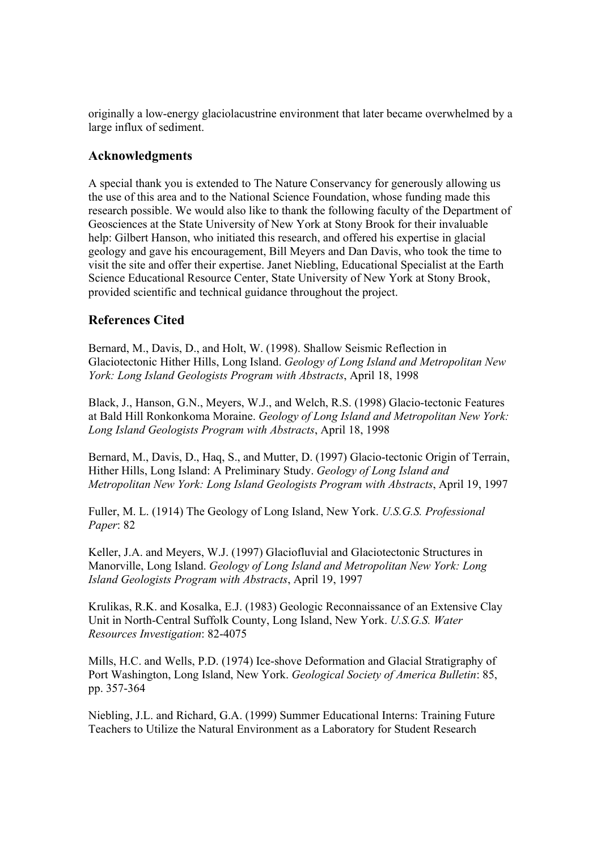originally a low-energy glaciolacustrine environment that later became overwhelmed by a large influx of sediment.

## **Acknowledgments**

A special thank you is extended to The Nature Conservancy for generously allowing us the use of this area and to the National Science Foundation, whose funding made this research possible. We would also like to thank the following faculty of the Department of Geosciences at the State University of New York at Stony Brook for their invaluable help: Gilbert Hanson, who initiated this research, and offered his expertise in glacial geology and gave his encouragement, Bill Meyers and Dan Davis, who took the time to visit the site and offer their expertise. Janet Niebling, Educational Specialist at the Earth Science Educational Resource Center, State University of New York at Stony Brook, provided scientific and technical guidance throughout the project.

## **References Cited**

Bernard, M., Davis, D., and Holt, W. (1998). Shallow Seismic Reflection in Glaciotectonic Hither Hills, Long Island. *Geology of Long Island and Metropolitan New York: Long Island Geologists Program with Abstracts*, April 18, 1998

Black, J., Hanson, G.N., Meyers, W.J., and Welch, R.S. (1998) Glacio-tectonic Features at Bald Hill Ronkonkoma Moraine. *Geology of Long Island and Metropolitan New York: Long Island Geologists Program with Abstracts*, April 18, 1998

Bernard, M., Davis, D., Haq, S., and Mutter, D. (1997) Glacio-tectonic Origin of Terrain, Hither Hills, Long Island: A Preliminary Study. *Geology of Long Island and Metropolitan New York: Long Island Geologists Program with Abstracts*, April 19, 1997

Fuller, M. L. (1914) The Geology of Long Island, New York. *U.S.G.S. Professional Paper*: 82

Keller, J.A. and Meyers, W.J. (1997) Glaciofluvial and Glaciotectonic Structures in Manorville, Long Island. *Geology of Long Island and Metropolitan New York: Long Island Geologists Program with Abstracts*, April 19, 1997

Krulikas, R.K. and Kosalka, E.J. (1983) Geologic Reconnaissance of an Extensive Clay Unit in North-Central Suffolk County, Long Island, New York. *U.S.G.S. Water Resources Investigation*: 82-4075

Mills, H.C. and Wells, P.D. (1974) Ice-shove Deformation and Glacial Stratigraphy of Port Washington, Long Island, New York. *Geological Society of America Bulletin*: 85, pp. 357-364

Niebling, J.L. and Richard, G.A. (1999) Summer Educational Interns: Training Future Teachers to Utilize the Natural Environment as a Laboratory for Student Research